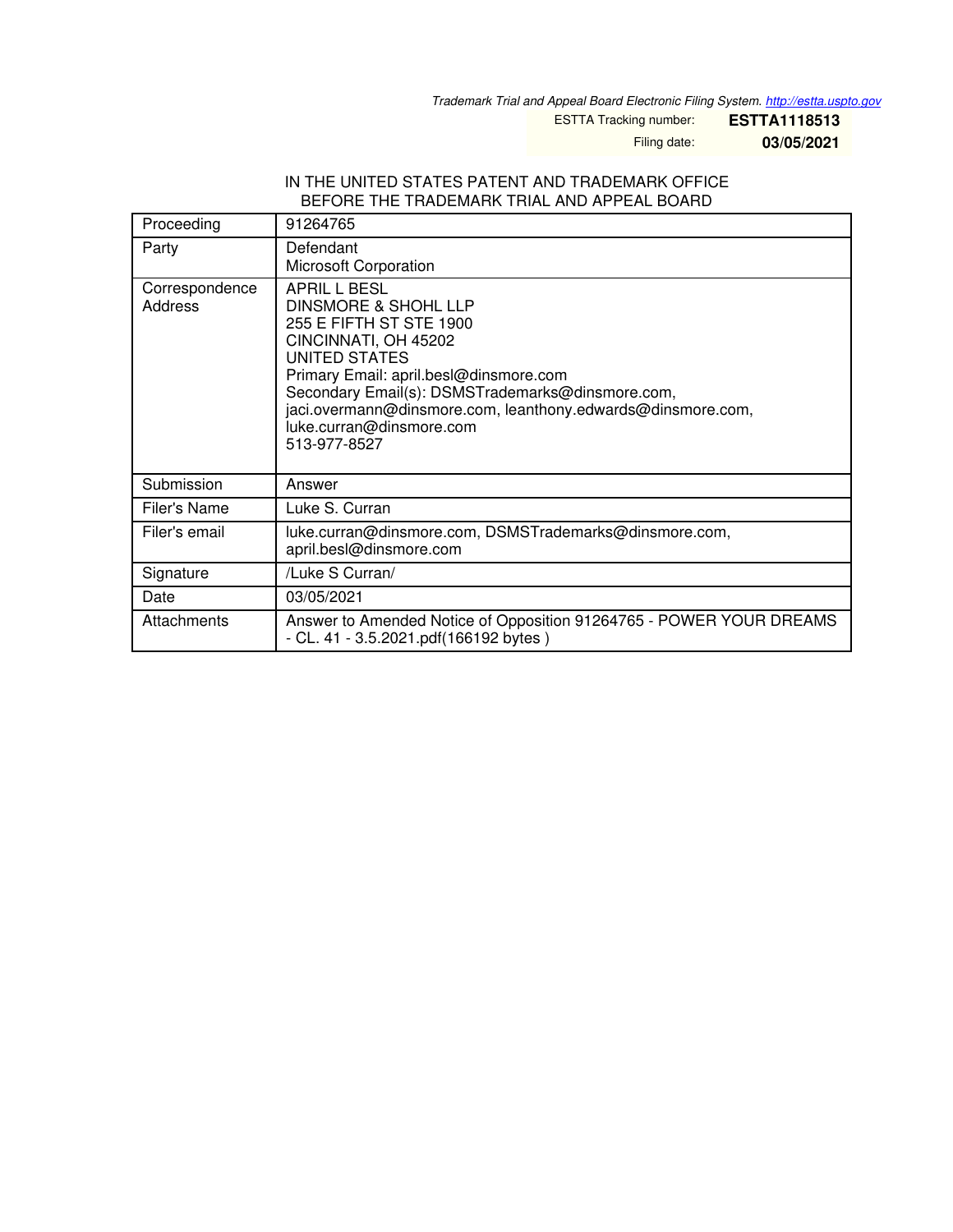*Trademark Trial and Appeal Board Electronic Filing System. <http://estta.uspto.gov>*

ESTTA Tracking number: **ESTTA1118513**

Filing date: **03/05/2021**

#### IN THE UNITED STATES PATENT AND TRADEMARK OFFICE BEFORE THE TRADEMARK TRIAL AND APPEAL BOARD

| Proceeding                | 91264765                                                                                                                                                                                                                                                                                                          |
|---------------------------|-------------------------------------------------------------------------------------------------------------------------------------------------------------------------------------------------------------------------------------------------------------------------------------------------------------------|
| Party                     | Defendant<br>Microsoft Corporation                                                                                                                                                                                                                                                                                |
| Correspondence<br>Address | APRIL L BESL<br>DINSMORE & SHOHL LLP<br>255 E FIFTH ST STE 1900<br>CINCINNATI, OH 45202<br>UNITED STATES<br>Primary Email: april.besl@dinsmore.com<br>Secondary Email(s): DSMSTrademarks@dinsmore.com,<br>jaci.overmann@dinsmore.com, leanthony.edwards@dinsmore.com,<br>luke.curran@dinsmore.com<br>513-977-8527 |
| Submission                | Answer                                                                                                                                                                                                                                                                                                            |
| Filer's Name              | Luke S. Curran                                                                                                                                                                                                                                                                                                    |
| Filer's email             | luke.curran@dinsmore.com, DSMSTrademarks@dinsmore.com,<br>april.besl@dinsmore.com                                                                                                                                                                                                                                 |
| Signature                 | /Luke S Curran/                                                                                                                                                                                                                                                                                                   |
| Date                      | 03/05/2021                                                                                                                                                                                                                                                                                                        |
| Attachments               | Answer to Amended Notice of Opposition 91264765 - POWER YOUR DREAMS<br>$- CL. 41 - 3.5.2021.pdf(166192 bytes)$                                                                                                                                                                                                    |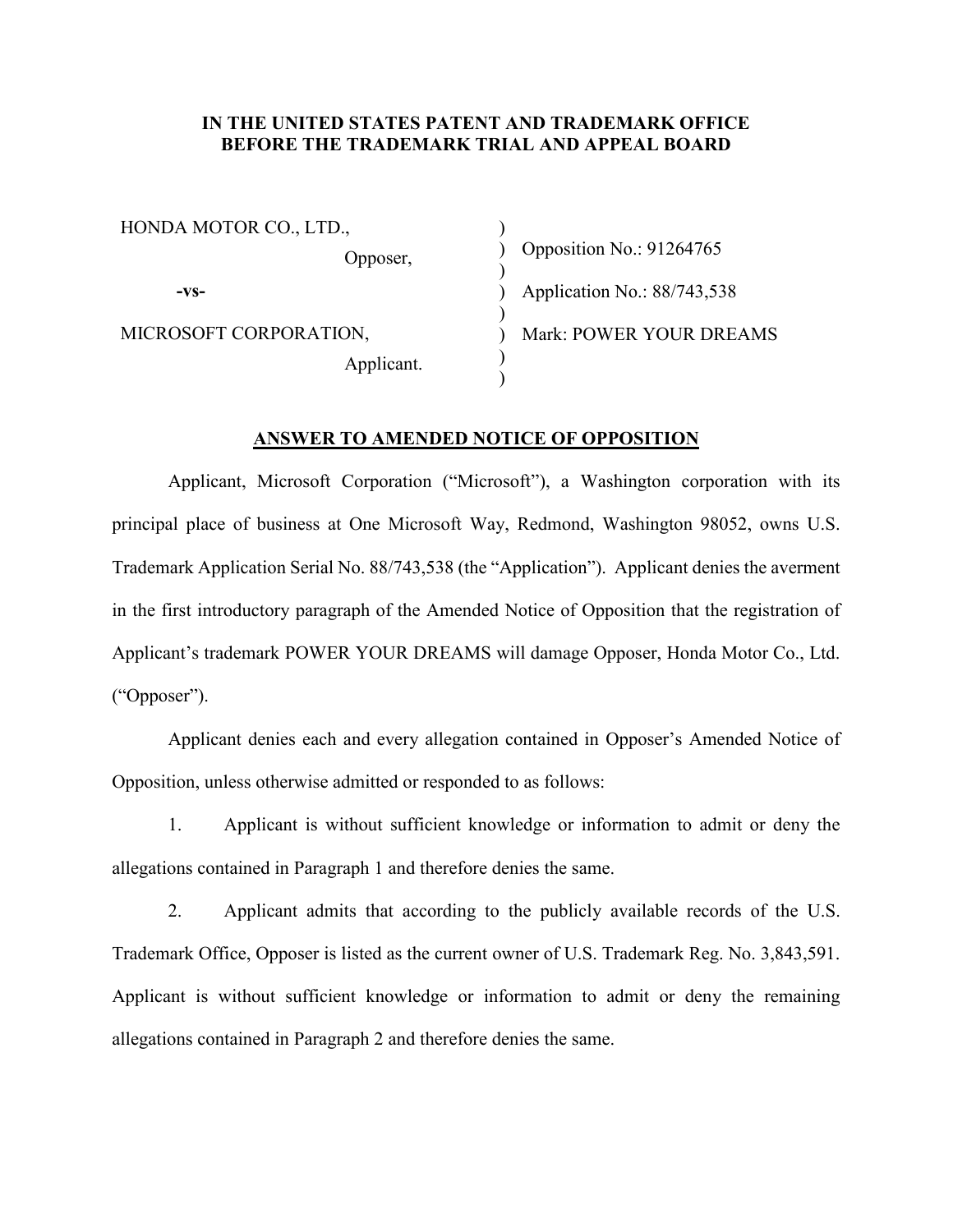## **IN THE UNITED STATES PATENT AND TRADEMARK OFFICE BEFORE THE TRADEMARK TRIAL AND APPEAL BOARD**

)

)

)

)  $\lambda$ 

HONDA MOTOR CO., LTD., Opposer, **-vs-**MICROSOFT CORPORATION, Applicant.

) Opposition No.: 91264765 ) Application No.: 88/743,538 ) Mark: POWER YOUR DREAMS

#### **ANSWER TO AMENDED NOTICE OF OPPOSITION**

Applicant, Microsoft Corporation ("Microsoft"), a Washington corporation with its principal place of business at One Microsoft Way, Redmond, Washington 98052, owns U.S. Trademark Application Serial No. 88/743,538 (the "Application"). Applicant denies the averment in the first introductory paragraph of the Amended Notice of Opposition that the registration of Applicant's trademark POWER YOUR DREAMS will damage Opposer, Honda Motor Co., Ltd. ("Opposer").

Applicant denies each and every allegation contained in Opposer's Amended Notice of Opposition, unless otherwise admitted or responded to as follows:

1. Applicant is without sufficient knowledge or information to admit or deny the allegations contained in Paragraph 1 and therefore denies the same.

2. Applicant admits that according to the publicly available records of the U.S. Trademark Office, Opposer is listed as the current owner of U.S. Trademark Reg. No. 3,843,591. Applicant is without sufficient knowledge or information to admit or deny the remaining allegations contained in Paragraph 2 and therefore denies the same.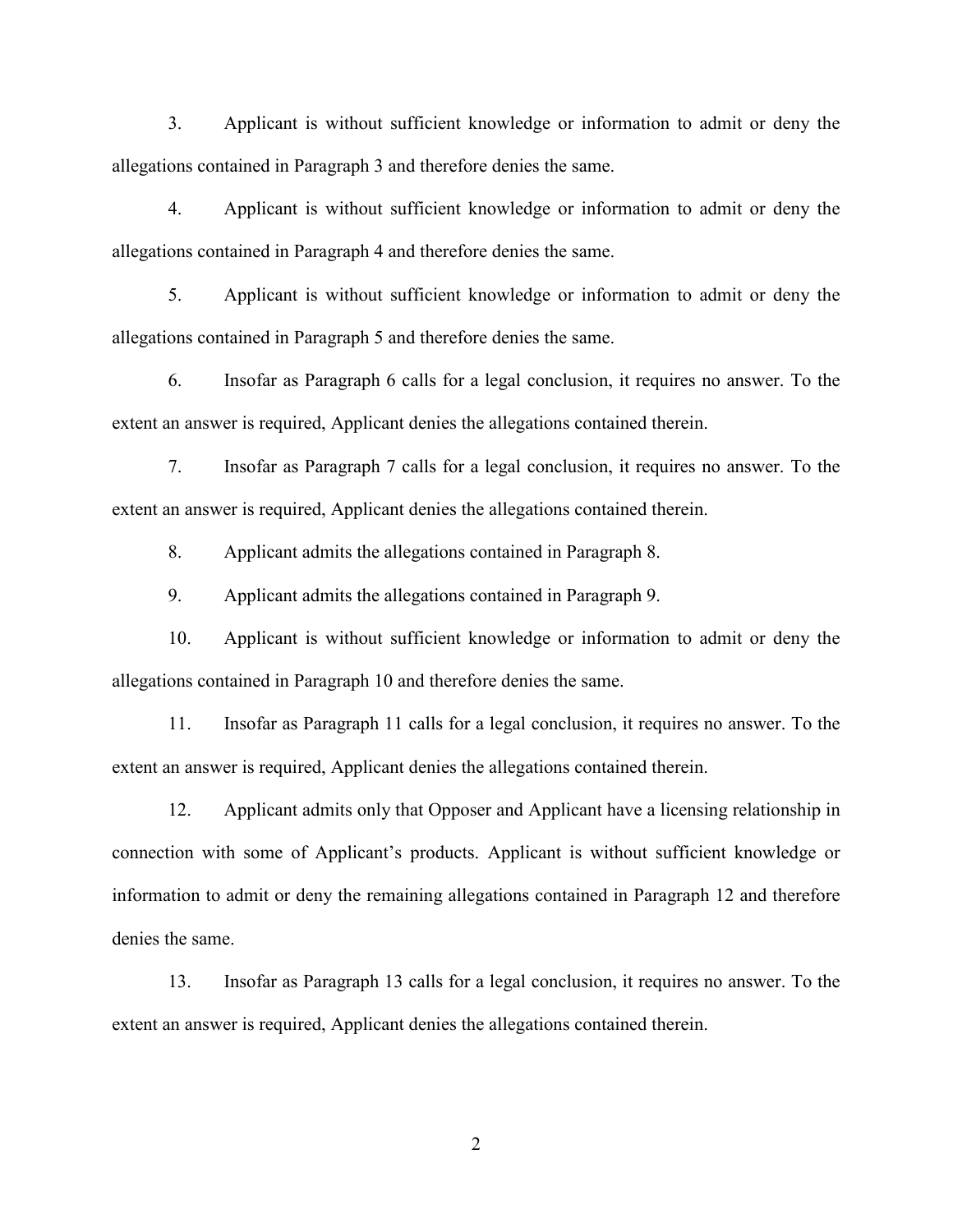3. Applicant is without sufficient knowledge or information to admit or deny the allegations contained in Paragraph 3 and therefore denies the same.

4. Applicant is without sufficient knowledge or information to admit or deny the allegations contained in Paragraph 4 and therefore denies the same.

5. Applicant is without sufficient knowledge or information to admit or deny the allegations contained in Paragraph 5 and therefore denies the same.

6. Insofar as Paragraph 6 calls for a legal conclusion, it requires no answer. To the extent an answer is required, Applicant denies the allegations contained therein.

7. Insofar as Paragraph 7 calls for a legal conclusion, it requires no answer. To the extent an answer is required, Applicant denies the allegations contained therein.

8. Applicant admits the allegations contained in Paragraph 8.

9. Applicant admits the allegations contained in Paragraph 9.

10. Applicant is without sufficient knowledge or information to admit or deny the allegations contained in Paragraph 10 and therefore denies the same.

11. Insofar as Paragraph 11 calls for a legal conclusion, it requires no answer. To the extent an answer is required, Applicant denies the allegations contained therein.

12. Applicant admits only that Opposer and Applicant have a licensing relationship in connection with some of Applicant's products. Applicant is without sufficient knowledge or information to admit or deny the remaining allegations contained in Paragraph 12 and therefore denies the same.

13. Insofar as Paragraph 13 calls for a legal conclusion, it requires no answer. To the extent an answer is required, Applicant denies the allegations contained therein.

2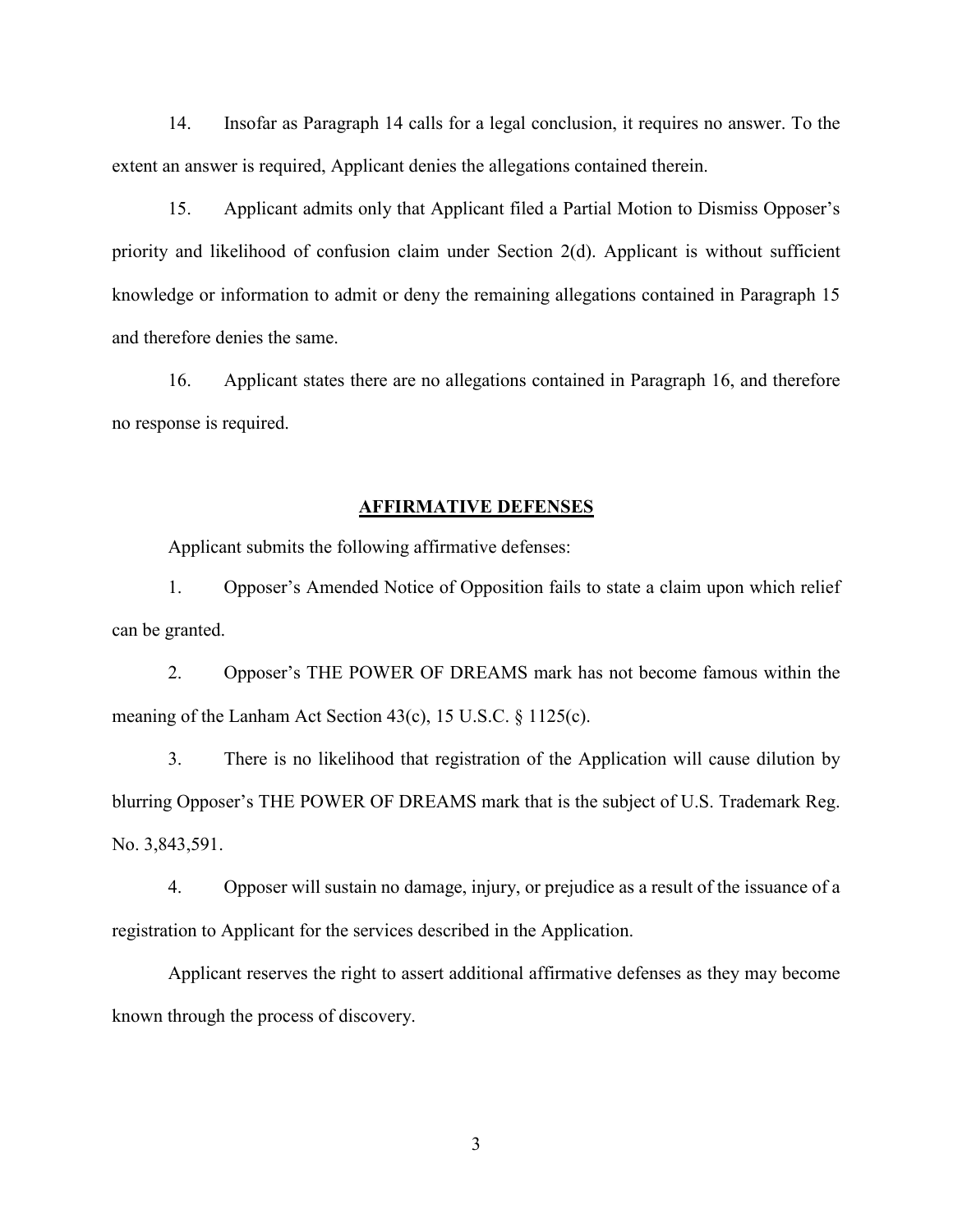14. Insofar as Paragraph 14 calls for a legal conclusion, it requires no answer. To the extent an answer is required, Applicant denies the allegations contained therein.

15. Applicant admits only that Applicant filed a Partial Motion to Dismiss Opposer's priority and likelihood of confusion claim under Section 2(d). Applicant is without sufficient knowledge or information to admit or deny the remaining allegations contained in Paragraph 15 and therefore denies the same.

16. Applicant states there are no allegations contained in Paragraph 16, and therefore no response is required.

## **AFFIRMATIVE DEFENSES**

Applicant submits the following affirmative defenses:

1. Opposer's Amended Notice of Opposition fails to state a claim upon which relief can be granted.

2. Opposer's THE POWER OF DREAMS mark has not become famous within the meaning of the Lanham Act Section 43(c), 15 U.S.C. § 1125(c).

3. There is no likelihood that registration of the Application will cause dilution by blurring Opposer's THE POWER OF DREAMS mark that is the subject of U.S. Trademark Reg. No. 3,843,591.

4. Opposer will sustain no damage, injury, or prejudice as a result of the issuance of a registration to Applicant for the services described in the Application.

Applicant reserves the right to assert additional affirmative defenses as they may become known through the process of discovery.

3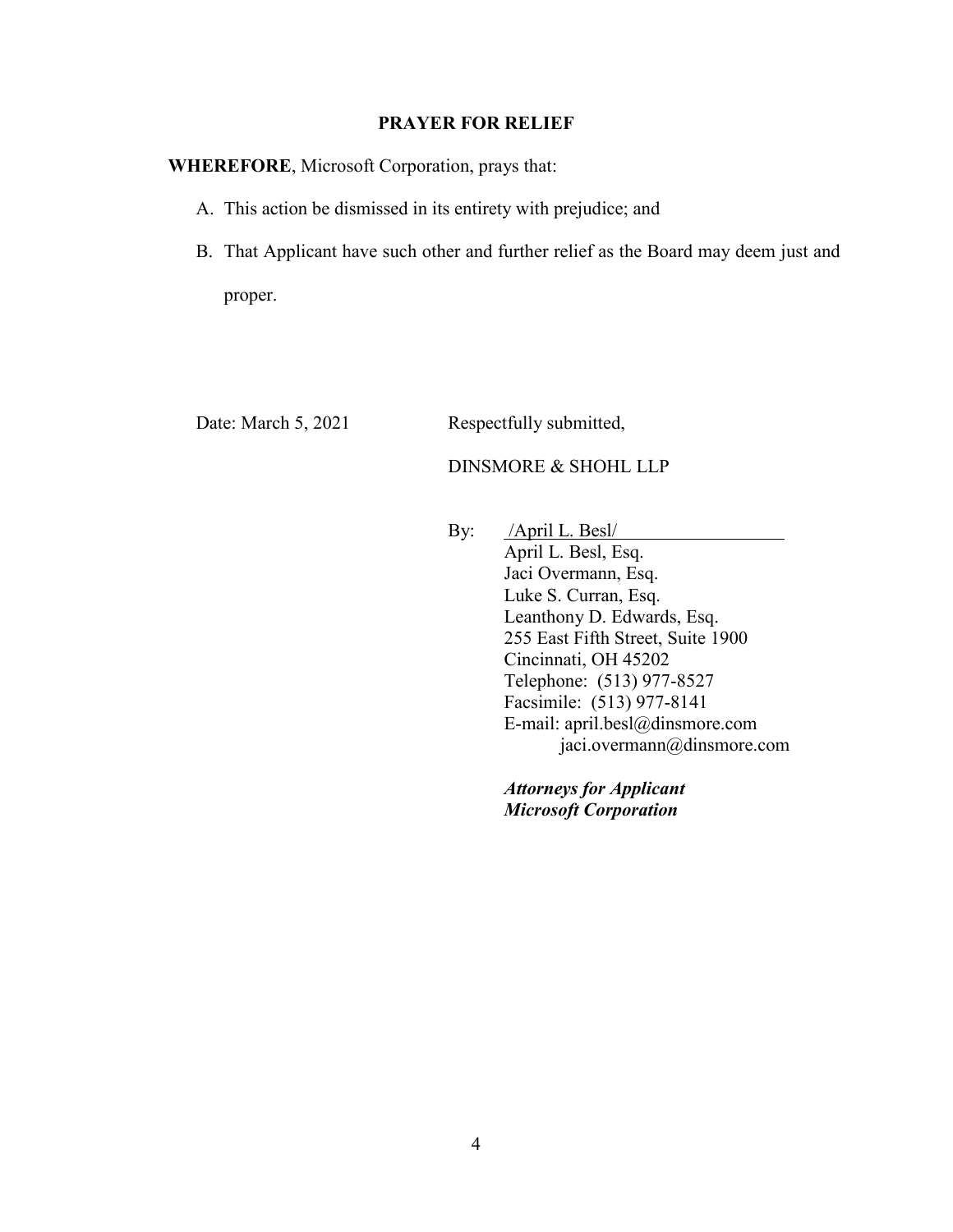## **PRAYER FOR RELIEF**

## **WHEREFORE**, Microsoft Corporation, prays that:

- A. This action be dismissed in its entirety with prejudice; and
- B. That Applicant have such other and further relief as the Board may deem just and proper.

Date: March 5, 2021 Respectfully submitted,

# DINSMORE & SHOHL LLP

By: /April L. Besl/ April L. Besl, Esq. Jaci Overmann, Esq. Luke S. Curran, Esq. Leanthony D. Edwards, Esq. 255 East Fifth Street, Suite 1900 Cincinnati, OH 45202 Telephone: (513) 977-8527 Facsimile: (513) 977-8141 E-mail: april.besl@dinsmore.com jaci.overmann@dinsmore.com

> *Attorneys for Applicant Microsoft Corporation*